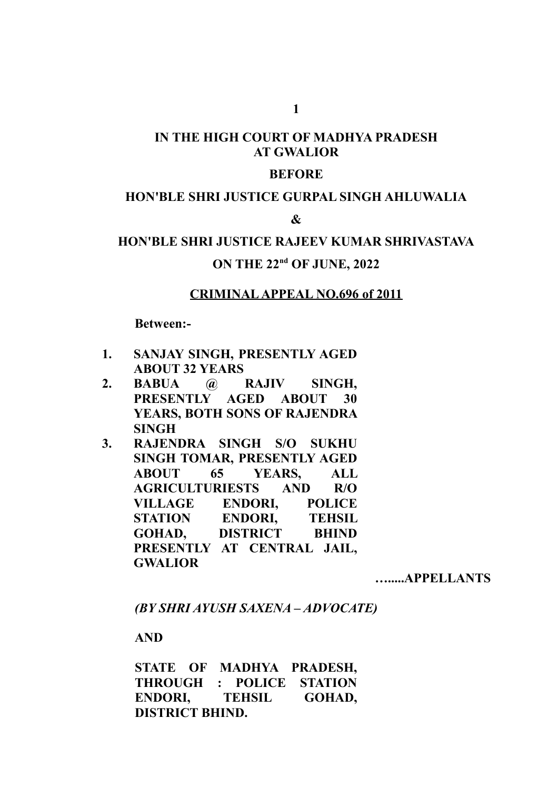# **IN THE HIGH COURT OF MADHYA PRADESH AT GWALIOR**

#### **BEFORE**

### **HON'BLE SHRI JUSTICE GURPAL SINGH AHLUWALIA**

#### **&**

# **HON'BLE SHRI JUSTICE RAJEEV KUMAR SHRIVASTAVA ON THE 22nd OF JUNE, 2022**

#### **CRIMINAL APPEAL NO.696 of 2011**

#### **Between:-**

- **1. SANJAY SINGH, PRESENTLY AGED ABOUT 32 YEARS**
- **2. BABUA @ RAJIV SINGH, PRESENTLY AGED ABOUT 30 YEARS, BOTH SONS OF RAJENDRA SINGH**
- **3. RAJENDRA SINGH S/O SUKHU SINGH TOMAR, PRESENTLY AGED ABOUT 65 YEARS, ALL AGRICULTURIESTS AND R/O VILLAGE ENDORI, POLICE STATION ENDORI, TEHSIL GOHAD, DISTRICT BHIND PRESENTLY AT CENTRAL JAIL, GWALIOR**

**….....APPELLANTS**

*(BY SHRI AYUSH SAXENA – ADVOCATE)*

#### **AND**

**STATE OF MADHYA PRADESH, THROUGH : POLICE STATION ENDORI, TEHSIL GOHAD, DISTRICT BHIND.**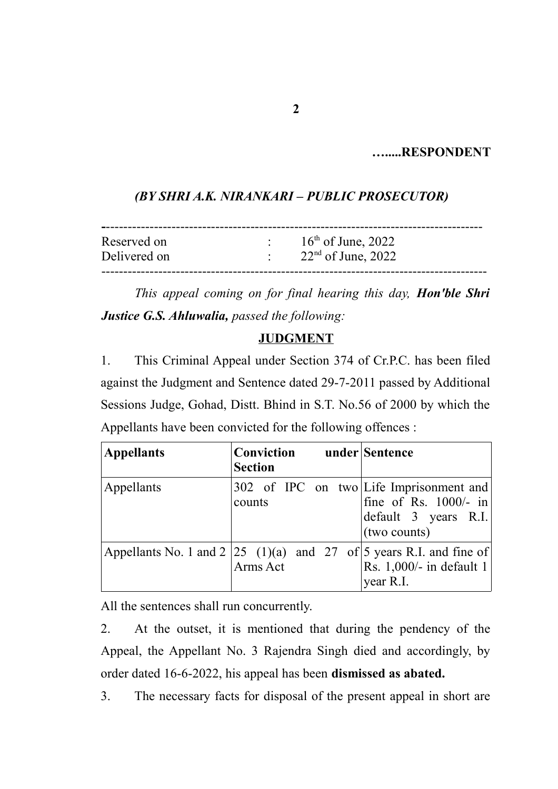# **….....RESPONDENT**

## *(BY SHRI A.K. NIRANKARI – PUBLIC PROSECUTOR)*

| Reserved on<br>Delivered on | $\mathcal{O}(\mathcal{O}_\mathcal{O})$ . | $16th$ of June, 2022<br>$\therefore$ 22 <sup>nd</sup> of June, 2022 |  |
|-----------------------------|------------------------------------------|---------------------------------------------------------------------|--|
|                             |                                          |                                                                     |  |

*This appeal coming on for final hearing this day, Hon'ble Shri Justice G.S. Ahluwalia, passed the following:*

## **JUDGMENT**

1. This Criminal Appeal under Section 374 of Cr.P.C. has been filed against the Judgment and Sentence dated 29-7-2011 passed by Additional Sessions Judge, Gohad, Distt. Bhind in S.T. No.56 of 2000 by which the Appellants have been convicted for the following offences :

| <b>Appellants</b> | Conviction under Sentence<br><b>Section</b>                                           |                                                                 |
|-------------------|---------------------------------------------------------------------------------------|-----------------------------------------------------------------|
| Appellants        | 302 of IPC on two Life Imprisonment and<br>counts                                     | fine of Rs. $1000/-$ in<br>default 3 years R.I.<br>(two counts) |
|                   | Appellants No. 1 and $2 25 (1)(a)$ and $27$ of $5$ years R.I. and fine of<br>Arms Act | Rs. $1,000/-$ in default 1<br>year R.I.                         |

All the sentences shall run concurrently.

2. At the outset, it is mentioned that during the pendency of the Appeal, the Appellant No. 3 Rajendra Singh died and accordingly, by order dated 16-6-2022, his appeal has been **dismissed as abated.**

3. The necessary facts for disposal of the present appeal in short are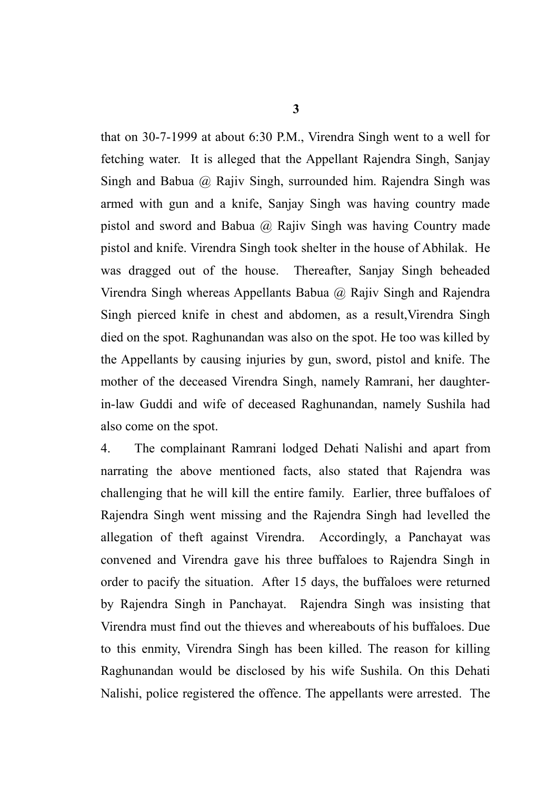**3**

that on 30-7-1999 at about 6:30 P.M., Virendra Singh went to a well for fetching water. It is alleged that the Appellant Rajendra Singh, Sanjay Singh and Babua @ Rajiv Singh, surrounded him. Rajendra Singh was armed with gun and a knife, Sanjay Singh was having country made pistol and sword and Babua  $\omega$  Rajiv Singh was having Country made pistol and knife. Virendra Singh took shelter in the house of Abhilak. He was dragged out of the house. Thereafter, Sanjay Singh beheaded Virendra Singh whereas Appellants Babua @ Rajiv Singh and Rajendra Singh pierced knife in chest and abdomen, as a result,Virendra Singh died on the spot. Raghunandan was also on the spot. He too was killed by the Appellants by causing injuries by gun, sword, pistol and knife. The mother of the deceased Virendra Singh, namely Ramrani, her daughterin-law Guddi and wife of deceased Raghunandan, namely Sushila had also come on the spot.

4. The complainant Ramrani lodged Dehati Nalishi and apart from narrating the above mentioned facts, also stated that Rajendra was challenging that he will kill the entire family. Earlier, three buffaloes of Rajendra Singh went missing and the Rajendra Singh had levelled the allegation of theft against Virendra. Accordingly, a Panchayat was convened and Virendra gave his three buffaloes to Rajendra Singh in order to pacify the situation. After 15 days, the buffaloes were returned by Rajendra Singh in Panchayat. Rajendra Singh was insisting that Virendra must find out the thieves and whereabouts of his buffaloes. Due to this enmity, Virendra Singh has been killed. The reason for killing Raghunandan would be disclosed by his wife Sushila. On this Dehati Nalishi, police registered the offence. The appellants were arrested. The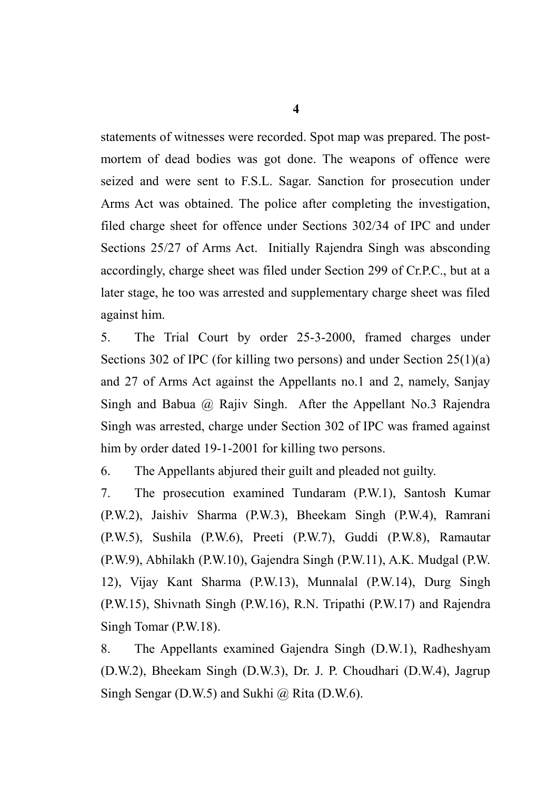statements of witnesses were recorded. Spot map was prepared. The postmortem of dead bodies was got done. The weapons of offence were seized and were sent to F.S.L. Sagar. Sanction for prosecution under Arms Act was obtained. The police after completing the investigation, filed charge sheet for offence under Sections 302/34 of IPC and under Sections 25/27 of Arms Act. Initially Rajendra Singh was absconding accordingly, charge sheet was filed under Section 299 of Cr.P.C., but at a later stage, he too was arrested and supplementary charge sheet was filed against him.

5. The Trial Court by order 25-3-2000, framed charges under Sections 302 of IPC (for killing two persons) and under Section 25(1)(a) and 27 of Arms Act against the Appellants no.1 and 2, namely, Sanjay Singh and Babua @ Rajiv Singh. After the Appellant No.3 Rajendra Singh was arrested, charge under Section 302 of IPC was framed against him by order dated 19-1-2001 for killing two persons.

6. The Appellants abjured their guilt and pleaded not guilty.

7. The prosecution examined Tundaram (P.W.1), Santosh Kumar (P.W.2), Jaishiv Sharma (P.W.3), Bheekam Singh (P.W.4), Ramrani (P.W.5), Sushila (P.W.6), Preeti (P.W.7), Guddi (P.W.8), Ramautar (P.W.9), Abhilakh (P.W.10), Gajendra Singh (P.W.11), A.K. Mudgal (P.W. 12), Vijay Kant Sharma (P.W.13), Munnalal (P.W.14), Durg Singh (P.W.15), Shivnath Singh (P.W.16), R.N. Tripathi (P.W.17) and Rajendra Singh Tomar (P.W.18).

8. The Appellants examined Gajendra Singh (D.W.1), Radheshyam (D.W.2), Bheekam Singh (D.W.3), Dr. J. P. Choudhari (D.W.4), Jagrup Singh Sengar (D.W.5) and Sukhi  $\omega$  Rita (D.W.6).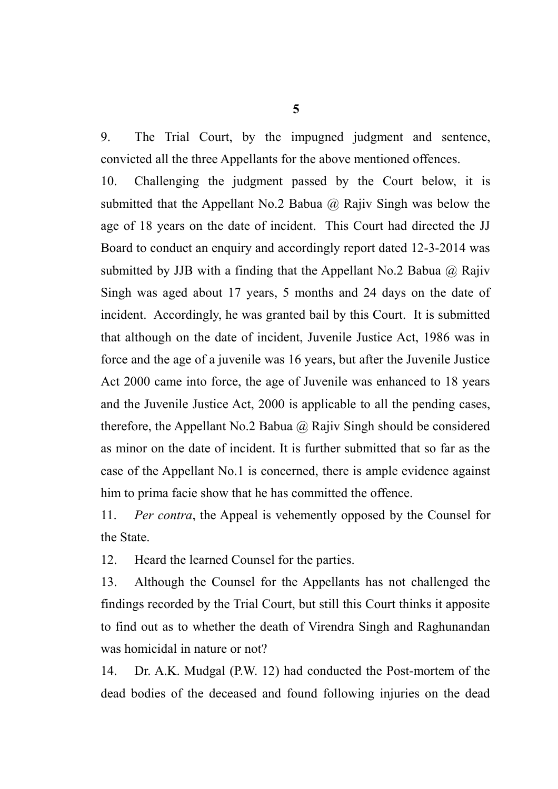9. The Trial Court, by the impugned judgment and sentence, convicted all the three Appellants for the above mentioned offences.

10. Challenging the judgment passed by the Court below, it is submitted that the Appellant No.2 Babua  $(a)$  Rajiv Singh was below the age of 18 years on the date of incident. This Court had directed the JJ Board to conduct an enquiry and accordingly report dated 12-3-2014 was submitted by JJB with a finding that the Appellant No.2 Babua  $\omega$  Rajiv Singh was aged about 17 years, 5 months and 24 days on the date of incident. Accordingly, he was granted bail by this Court. It is submitted that although on the date of incident, Juvenile Justice Act, 1986 was in force and the age of a juvenile was 16 years, but after the Juvenile Justice Act 2000 came into force, the age of Juvenile was enhanced to 18 years and the Juvenile Justice Act, 2000 is applicable to all the pending cases, therefore, the Appellant No.2 Babua  $\omega$  Rajiv Singh should be considered as minor on the date of incident. It is further submitted that so far as the case of the Appellant No.1 is concerned, there is ample evidence against him to prima facie show that he has committed the offence.

11. *Per contra*, the Appeal is vehemently opposed by the Counsel for the State.

12. Heard the learned Counsel for the parties.

13. Although the Counsel for the Appellants has not challenged the findings recorded by the Trial Court, but still this Court thinks it apposite to find out as to whether the death of Virendra Singh and Raghunandan was homicidal in nature or not?

14. Dr. A.K. Mudgal (P.W. 12) had conducted the Post-mortem of the dead bodies of the deceased and found following injuries on the dead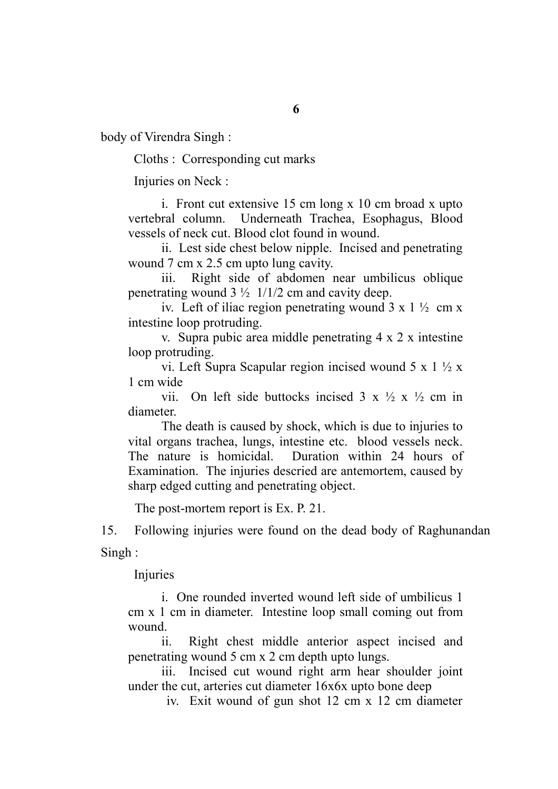**6**

body of Virendra Singh :

Cloths : Corresponding cut marks

Injuries on Neck :

i. Front cut extensive 15 cm long x 10 cm broad x upto vertebral column. Underneath Trachea, Esophagus, Blood vessels of neck cut. Blood clot found in wound.

ii. Lest side chest below nipple. Incised and penetrating wound 7 cm x 2.5 cm upto lung cavity.

iii. Right side of abdomen near umbilicus oblique penetrating wound  $3\frac{1}{2}$  1/1/2 cm and cavity deep.

iv. Left of iliac region penetrating wound  $3 \times 1 \frac{1}{2}$  cm x intestine loop protruding.

v. Supra pubic area middle penetrating 4 x 2 x intestine loop protruding.

vi. Left Supra Scapular region incised wound 5 x 1 ½ x 1 cm wide

vii. On left side buttocks incised  $3 \times \frac{1}{2} \times \frac{1}{2}$  cm in diameter.

The death is caused by shock, which is due to injuries to vital organs trachea, lungs, intestine etc. blood vessels neck. The nature is homicidal. Duration within 24 hours of Examination. The injuries descried are antemortem, caused by sharp edged cutting and penetrating object.

The post-mortem report is Ex. P. 21.

15. Following injuries were found on the dead body of Raghunandan Singh :

Injuries

i. One rounded inverted wound left side of umbilicus 1 cm x 1 cm in diameter. Intestine loop small coming out from wound.

ii. Right chest middle anterior aspect incised and penetrating wound 5 cm x 2 cm depth upto lungs.

 iii. Incised cut wound right arm hear shoulder joint under the cut, arteries cut diameter 16x6x upto bone deep

iv. Exit wound of gun shot 12 cm x 12 cm diameter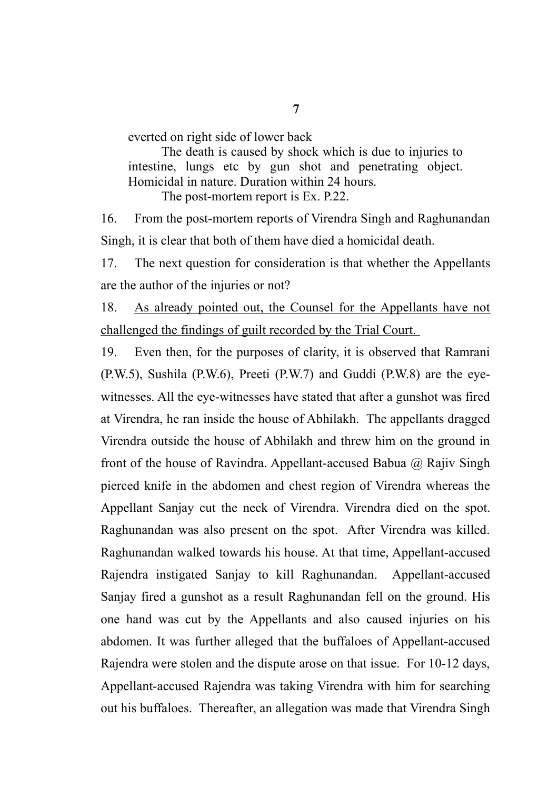everted on right side of lower back

The death is caused by shock which is due to injuries to intestine, lungs etc by gun shot and penetrating object. Homicidal in nature. Duration within 24 hours. The post-mortem report is Ex. P.22.

16. From the post-mortem reports of Virendra Singh and Raghunandan Singh, it is clear that both of them have died a homicidal death.

17. The next question for consideration is that whether the Appellants are the author of the injuries or not?

18. As already pointed out, the Counsel for the Appellants have not challenged the findings of guilt recorded by the Trial Court.

19. Even then, for the purposes of clarity, it is observed that Ramrani (P.W.5), Sushila (P.W.6), Preeti (P.W.7) and Guddi (P.W.8) are the eyewitnesses. All the eye-witnesses have stated that after a gunshot was fired at Virendra, he ran inside the house of Abhilakh. The appellants dragged Virendra outside the house of Abhilakh and threw him on the ground in front of the house of Ravindra. Appellant-accused Babua  $\omega$  Rajiv Singh pierced knife in the abdomen and chest region of Virendra whereas the Appellant Sanjay cut the neck of Virendra. Virendra died on the spot. Raghunandan was also present on the spot. After Virendra was killed. Raghunandan walked towards his house. At that time, Appellant-accused Rajendra instigated Sanjay to kill Raghunandan. Appellant-accused Sanjay fired a gunshot as a result Raghunandan fell on the ground. His one hand was cut by the Appellants and also caused injuries on his abdomen. It was further alleged that the buffaloes of Appellant-accused Rajendra were stolen and the dispute arose on that issue. For 10-12 days, Appellant-accused Rajendra was taking Virendra with him for searching out his buffaloes. Thereafter, an allegation was made that Virendra Singh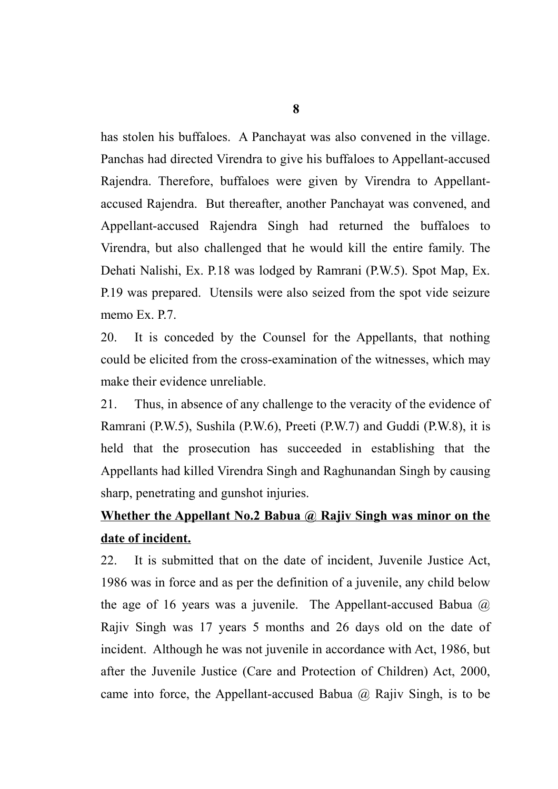has stolen his buffaloes. A Panchayat was also convened in the village. Panchas had directed Virendra to give his buffaloes to Appellant-accused Rajendra. Therefore, buffaloes were given by Virendra to Appellantaccused Rajendra. But thereafter, another Panchayat was convened, and Appellant-accused Rajendra Singh had returned the buffaloes to Virendra, but also challenged that he would kill the entire family. The Dehati Nalishi, Ex. P.18 was lodged by Ramrani (P.W.5). Spot Map, Ex. P.19 was prepared. Utensils were also seized from the spot vide seizure memo Ex. P.7.

20. It is conceded by the Counsel for the Appellants, that nothing could be elicited from the cross-examination of the witnesses, which may make their evidence unreliable.

21. Thus, in absence of any challenge to the veracity of the evidence of Ramrani (P.W.5), Sushila (P.W.6), Preeti (P.W.7) and Guddi (P.W.8), it is held that the prosecution has succeeded in establishing that the Appellants had killed Virendra Singh and Raghunandan Singh by causing sharp, penetrating and gunshot injuries.

# **Whether the Appellant No.2 Babua @ Rajiv Singh was minor on the date of incident.**

22. It is submitted that on the date of incident, Juvenile Justice Act, 1986 was in force and as per the definition of a juvenile, any child below the age of 16 years was a juvenile. The Appellant-accused Babua  $\omega$ Rajiv Singh was 17 years 5 months and 26 days old on the date of incident. Although he was not juvenile in accordance with Act, 1986, but after the Juvenile Justice (Care and Protection of Children) Act, 2000, came into force, the Appellant-accused Babua  $\omega$  Rajiv Singh, is to be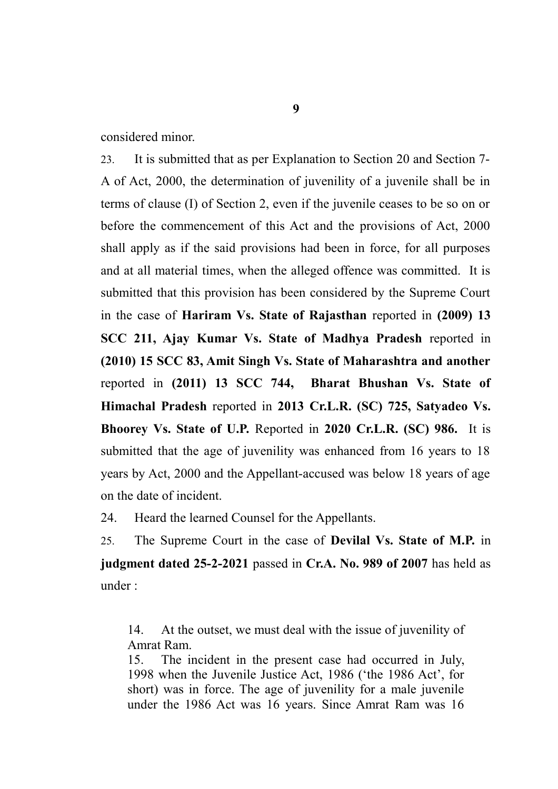considered minor.

23. It is submitted that as per Explanation to Section 20 and Section 7- A of Act, 2000, the determination of juvenility of a juvenile shall be in terms of clause (I) of Section 2, even if the juvenile ceases to be so on or before the commencement of this Act and the provisions of Act, 2000 shall apply as if the said provisions had been in force, for all purposes and at all material times, when the alleged offence was committed. It is submitted that this provision has been considered by the Supreme Court in the case of **Hariram Vs. State of Rajasthan** reported in **(2009) 13 SCC 211, Ajay Kumar Vs. State of Madhya Pradesh** reported in **(2010) 15 SCC 83, Amit Singh Vs. State of Maharashtra and another** reported in **(2011) 13 SCC 744, Bharat Bhushan Vs. State of Himachal Pradesh** reported in **2013 Cr.L.R. (SC) 725, Satyadeo Vs. Bhoorey Vs. State of U.P.** Reported in **2020 Cr.L.R. (SC) 986.** It is submitted that the age of juvenility was enhanced from 16 years to 18 years by Act, 2000 and the Appellant-accused was below 18 years of age on the date of incident.

24. Heard the learned Counsel for the Appellants.

25. The Supreme Court in the case of **Devilal Vs. State of M.P.** in **judgment dated 25-2-2021** passed in **Cr.A. No. 989 of 2007** has held as under :

14. At the outset, we must deal with the issue of juvenility of Amrat Ram.

15. The incident in the present case had occurred in July, 1998 when the Juvenile Justice Act, 1986 ('the 1986 Act', for short) was in force. The age of juvenility for a male juvenile under the 1986 Act was 16 years. Since Amrat Ram was 16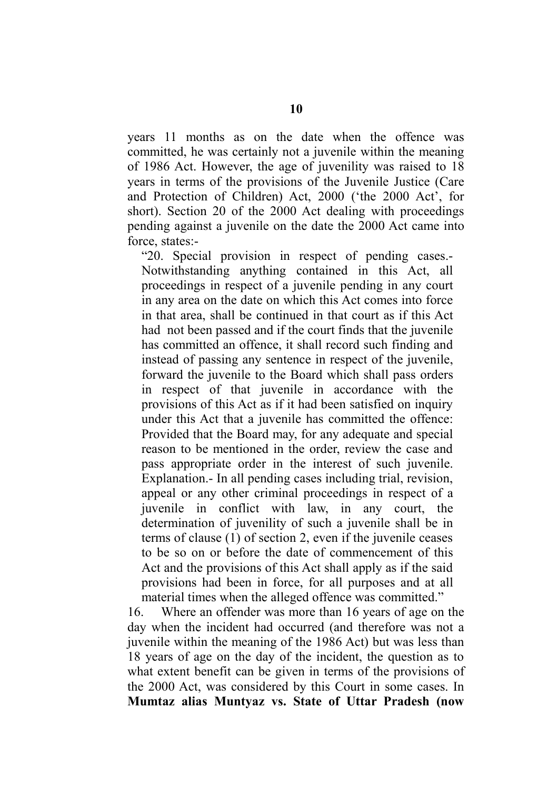years 11 months as on the date when the offence was committed, he was certainly not a juvenile within the meaning of 1986 Act. However, the age of juvenility was raised to 18 years in terms of the provisions of the Juvenile Justice (Care and Protection of Children) Act, 2000 ('the 2000 Act', for short). Section 20 of the 2000 Act dealing with proceedings pending against a juvenile on the date the 2000 Act came into force, states:-

"20. Special provision in respect of pending cases.- Notwithstanding anything contained in this Act, all proceedings in respect of a juvenile pending in any court in any area on the date on which this Act comes into force in that area, shall be continued in that court as if this Act had not been passed and if the court finds that the juvenile has committed an offence, it shall record such finding and instead of passing any sentence in respect of the juvenile, forward the juvenile to the Board which shall pass orders in respect of that juvenile in accordance with the provisions of this Act as if it had been satisfied on inquiry under this Act that a juvenile has committed the offence: Provided that the Board may, for any adequate and special reason to be mentioned in the order, review the case and pass appropriate order in the interest of such juvenile. Explanation.- In all pending cases including trial, revision, appeal or any other criminal proceedings in respect of a juvenile in conflict with law, in any court, the determination of juvenility of such a juvenile shall be in terms of clause (1) of section 2, even if the juvenile ceases to be so on or before the date of commencement of this Act and the provisions of this Act shall apply as if the said provisions had been in force, for all purposes and at all material times when the alleged offence was committed."

16. Where an offender was more than 16 years of age on the day when the incident had occurred (and therefore was not a juvenile within the meaning of the 1986 Act) but was less than 18 years of age on the day of the incident, the question as to what extent benefit can be given in terms of the provisions of the 2000 Act, was considered by this Court in some cases. In **Mumtaz alias Muntyaz vs. State of Uttar Pradesh (now**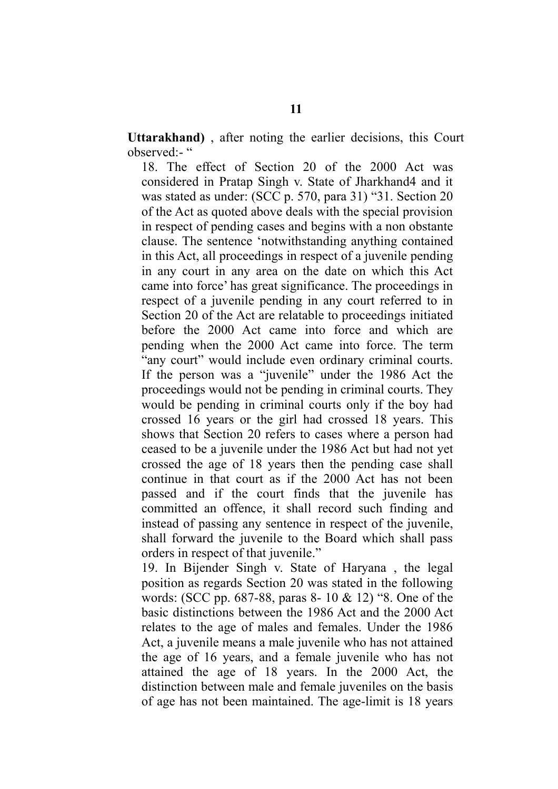**Uttarakhand)** , after noting the earlier decisions, this Court observed:- "

18. The effect of Section 20 of the 2000 Act was considered in Pratap Singh v. State of Jharkhand4 and it was stated as under: (SCC p. 570, para 31) "31. Section 20 of the Act as quoted above deals with the special provision in respect of pending cases and begins with a non obstante clause. The sentence 'notwithstanding anything contained in this Act, all proceedings in respect of a juvenile pending in any court in any area on the date on which this Act came into force' has great significance. The proceedings in respect of a juvenile pending in any court referred to in Section 20 of the Act are relatable to proceedings initiated before the 2000 Act came into force and which are pending when the 2000 Act came into force. The term "any court" would include even ordinary criminal courts. If the person was a "juvenile" under the 1986 Act the proceedings would not be pending in criminal courts. They would be pending in criminal courts only if the boy had crossed 16 years or the girl had crossed 18 years. This shows that Section 20 refers to cases where a person had ceased to be a juvenile under the 1986 Act but had not yet crossed the age of 18 years then the pending case shall continue in that court as if the 2000 Act has not been passed and if the court finds that the juvenile has committed an offence, it shall record such finding and instead of passing any sentence in respect of the juvenile, shall forward the juvenile to the Board which shall pass orders in respect of that juvenile."

19. In Bijender Singh v. State of Haryana , the legal position as regards Section 20 was stated in the following words: (SCC pp. 687-88, paras 8- 10 & 12) "8. One of the basic distinctions between the 1986 Act and the 2000 Act relates to the age of males and females. Under the 1986 Act, a juvenile means a male juvenile who has not attained the age of 16 years, and a female juvenile who has not attained the age of 18 years. In the 2000 Act, the distinction between male and female juveniles on the basis of age has not been maintained. The age-limit is 18 years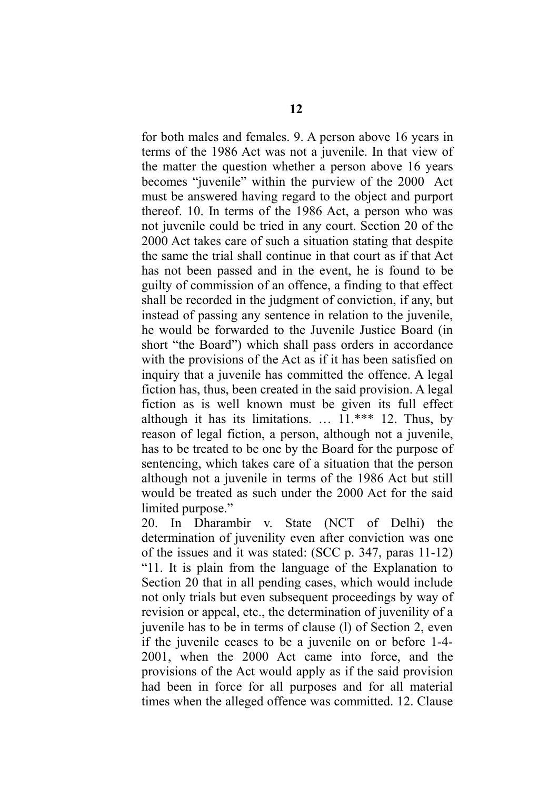for both males and females. 9. A person above 16 years in terms of the 1986 Act was not a juvenile. In that view of the matter the question whether a person above 16 years becomes "juvenile" within the purview of the 2000 Act must be answered having regard to the object and purport thereof. 10. In terms of the 1986 Act, a person who was not juvenile could be tried in any court. Section 20 of the 2000 Act takes care of such a situation stating that despite the same the trial shall continue in that court as if that Act has not been passed and in the event, he is found to be guilty of commission of an offence, a finding to that effect shall be recorded in the judgment of conviction, if any, but instead of passing any sentence in relation to the juvenile, he would be forwarded to the Juvenile Justice Board (in short "the Board") which shall pass orders in accordance with the provisions of the Act as if it has been satisfied on inquiry that a juvenile has committed the offence. A legal fiction has, thus, been created in the said provision. A legal fiction as is well known must be given its full effect although it has its limitations.  $\ldots$  11.\*\*\* 12. Thus, by reason of legal fiction, a person, although not a juvenile, has to be treated to be one by the Board for the purpose of sentencing, which takes care of a situation that the person although not a juvenile in terms of the 1986 Act but still would be treated as such under the 2000 Act for the said limited purpose."

20. In Dharambir v. State (NCT of Delhi) the determination of juvenility even after conviction was one of the issues and it was stated: (SCC p. 347, paras 11-12) "11. It is plain from the language of the Explanation to Section 20 that in all pending cases, which would include not only trials but even subsequent proceedings by way of revision or appeal, etc., the determination of juvenility of a juvenile has to be in terms of clause (l) of Section 2, even if the juvenile ceases to be a juvenile on or before 1-4- 2001, when the 2000 Act came into force, and the provisions of the Act would apply as if the said provision had been in force for all purposes and for all material times when the alleged offence was committed. 12. Clause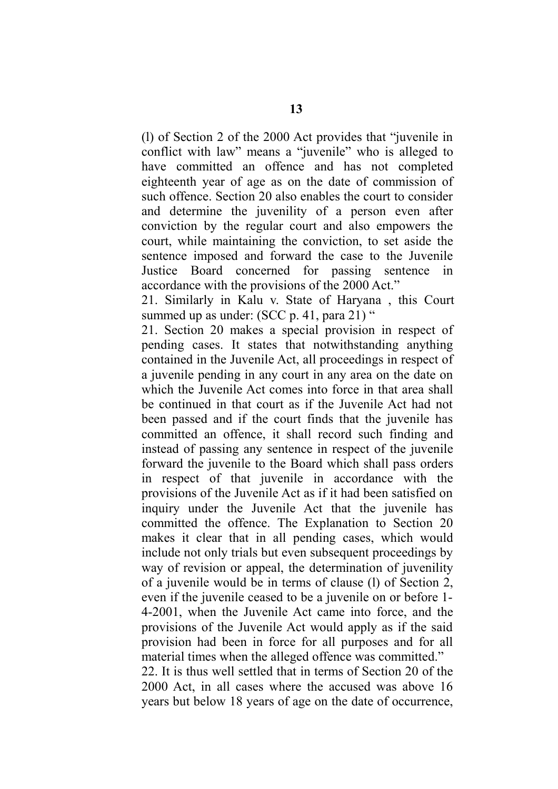(l) of Section 2 of the 2000 Act provides that "juvenile in conflict with law" means a "juvenile" who is alleged to have committed an offence and has not completed eighteenth year of age as on the date of commission of such offence. Section 20 also enables the court to consider and determine the juvenility of a person even after conviction by the regular court and also empowers the court, while maintaining the conviction, to set aside the sentence imposed and forward the case to the Juvenile Justice Board concerned for passing sentence in accordance with the provisions of the 2000 Act."

21. Similarly in Kalu v. State of Haryana , this Court summed up as under: (SCC p. 41, para 21) "

21. Section 20 makes a special provision in respect of pending cases. It states that notwithstanding anything contained in the Juvenile Act, all proceedings in respect of a juvenile pending in any court in any area on the date on which the Juvenile Act comes into force in that area shall be continued in that court as if the Juvenile Act had not been passed and if the court finds that the juvenile has committed an offence, it shall record such finding and instead of passing any sentence in respect of the juvenile forward the juvenile to the Board which shall pass orders in respect of that juvenile in accordance with the provisions of the Juvenile Act as if it had been satisfied on inquiry under the Juvenile Act that the juvenile has committed the offence. The Explanation to Section 20 makes it clear that in all pending cases, which would include not only trials but even subsequent proceedings by way of revision or appeal, the determination of juvenility of a juvenile would be in terms of clause (l) of Section 2, even if the juvenile ceased to be a juvenile on or before 1- 4-2001, when the Juvenile Act came into force, and the provisions of the Juvenile Act would apply as if the said provision had been in force for all purposes and for all material times when the alleged offence was committed." 22. It is thus well settled that in terms of Section 20 of the 2000 Act, in all cases where the accused was above 16 years but below 18 years of age on the date of occurrence,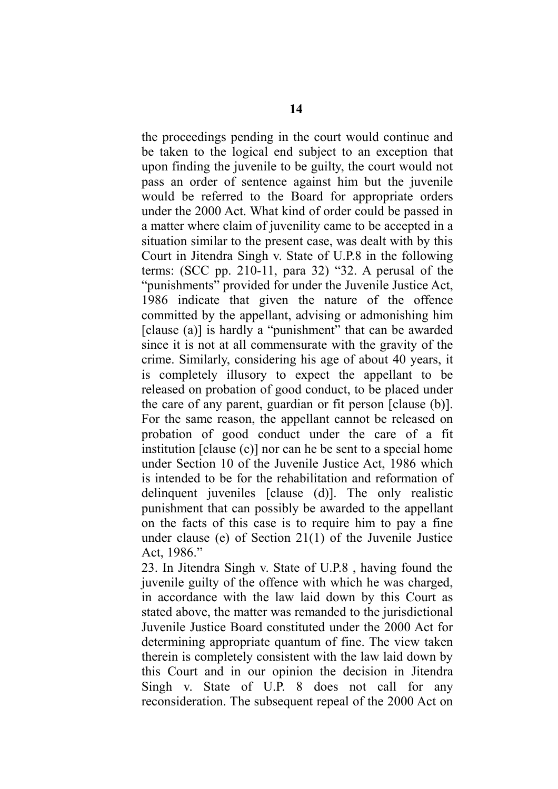the proceedings pending in the court would continue and be taken to the logical end subject to an exception that upon finding the juvenile to be guilty, the court would not pass an order of sentence against him but the juvenile would be referred to the Board for appropriate orders under the 2000 Act. What kind of order could be passed in a matter where claim of juvenility came to be accepted in a situation similar to the present case, was dealt with by this Court in Jitendra Singh v. State of U.P.8 in the following terms: (SCC pp. 210-11, para 32) "32. A perusal of the "punishments" provided for under the Juvenile Justice Act, 1986 indicate that given the nature of the offence committed by the appellant, advising or admonishing him [clause (a)] is hardly a "punishment" that can be awarded since it is not at all commensurate with the gravity of the crime. Similarly, considering his age of about 40 years, it is completely illusory to expect the appellant to be released on probation of good conduct, to be placed under the care of any parent, guardian or fit person [clause (b)]. For the same reason, the appellant cannot be released on probation of good conduct under the care of a fit institution [clause (c)] nor can he be sent to a special home under Section 10 of the Juvenile Justice Act, 1986 which is intended to be for the rehabilitation and reformation of delinquent juveniles [clause (d)]. The only realistic punishment that can possibly be awarded to the appellant on the facts of this case is to require him to pay a fine under clause (e) of Section 21(1) of the Juvenile Justice Act, 1986."

23. In Jitendra Singh v. State of U.P.8 , having found the juvenile guilty of the offence with which he was charged, in accordance with the law laid down by this Court as stated above, the matter was remanded to the jurisdictional Juvenile Justice Board constituted under the 2000 Act for determining appropriate quantum of fine. The view taken therein is completely consistent with the law laid down by this Court and in our opinion the decision in Jitendra Singh v. State of U.P. 8 does not call for any reconsideration. The subsequent repeal of the 2000 Act on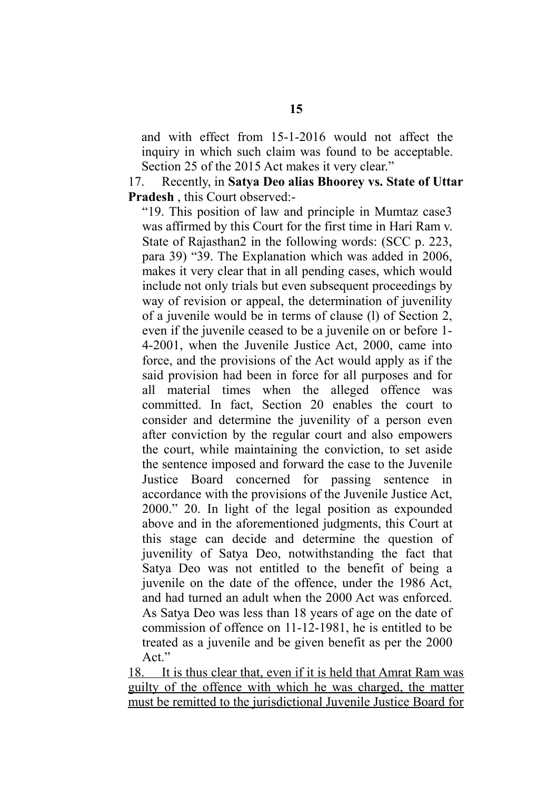and with effect from 15-1-2016 would not affect the inquiry in which such claim was found to be acceptable. Section 25 of the 2015 Act makes it very clear."

17. Recently, in **Satya Deo alias Bhoorey vs. State of Uttar Pradesh** , this Court observed:-

"19. This position of law and principle in Mumtaz case3 was affirmed by this Court for the first time in Hari Ram v. State of Rajasthan2 in the following words: (SCC p. 223, para 39) "39. The Explanation which was added in 2006, makes it very clear that in all pending cases, which would include not only trials but even subsequent proceedings by way of revision or appeal, the determination of juvenility of a juvenile would be in terms of clause (l) of Section 2, even if the juvenile ceased to be a juvenile on or before 1- 4-2001, when the Juvenile Justice Act, 2000, came into force, and the provisions of the Act would apply as if the said provision had been in force for all purposes and for all material times when the alleged offence was committed. In fact, Section 20 enables the court to consider and determine the juvenility of a person even after conviction by the regular court and also empowers the court, while maintaining the conviction, to set aside the sentence imposed and forward the case to the Juvenile Justice Board concerned for passing sentence in accordance with the provisions of the Juvenile Justice Act, 2000." 20. In light of the legal position as expounded above and in the aforementioned judgments, this Court at this stage can decide and determine the question of juvenility of Satya Deo, notwithstanding the fact that Satya Deo was not entitled to the benefit of being a juvenile on the date of the offence, under the 1986 Act, and had turned an adult when the 2000 Act was enforced. As Satya Deo was less than 18 years of age on the date of commission of offence on 11-12-1981, he is entitled to be treated as a juvenile and be given benefit as per the 2000 Act."

 18. It is thus clear that, even if it is held that Amrat Ram was guilty of the offence with which he was charged, the matter must be remitted to the jurisdictional Juvenile Justice Board for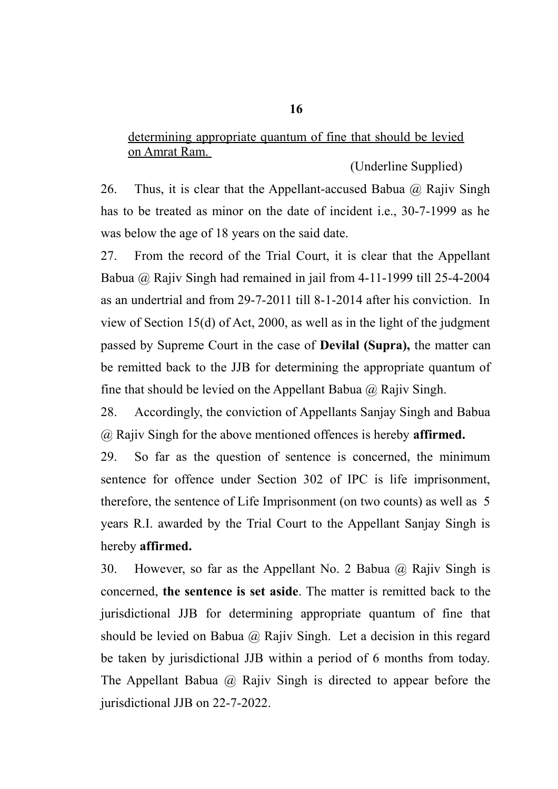# determining appropriate quantum of fine that should be levied on Amrat Ram.

(Underline Supplied)

26. Thus, it is clear that the Appellant-accused Babua  $\omega$  Rajiv Singh has to be treated as minor on the date of incident i.e., 30-7-1999 as he was below the age of 18 years on the said date.

27. From the record of the Trial Court, it is clear that the Appellant Babua @ Rajiv Singh had remained in jail from 4-11-1999 till 25-4-2004 as an undertrial and from 29-7-2011 till 8-1-2014 after his conviction. In view of Section 15(d) of Act, 2000, as well as in the light of the judgment passed by Supreme Court in the case of **Devilal (Supra),** the matter can be remitted back to the JJB for determining the appropriate quantum of fine that should be levied on the Appellant Babua  $\omega$  Rajiv Singh.

28. Accordingly, the conviction of Appellants Sanjay Singh and Babua @ Rajiv Singh for the above mentioned offences is hereby **affirmed.**

29. So far as the question of sentence is concerned, the minimum sentence for offence under Section 302 of IPC is life imprisonment, therefore, the sentence of Life Imprisonment (on two counts) as well as 5 years R.I. awarded by the Trial Court to the Appellant Sanjay Singh is hereby **affirmed.**

30. However, so far as the Appellant No. 2 Babua @ Rajiv Singh is concerned, **the sentence is set aside**. The matter is remitted back to the jurisdictional JJB for determining appropriate quantum of fine that should be levied on Babua  $\omega$  Rajiv Singh. Let a decision in this regard be taken by jurisdictional JJB within a period of 6 months from today. The Appellant Babua @ Rajiv Singh is directed to appear before the jurisdictional JJB on 22-7-2022.